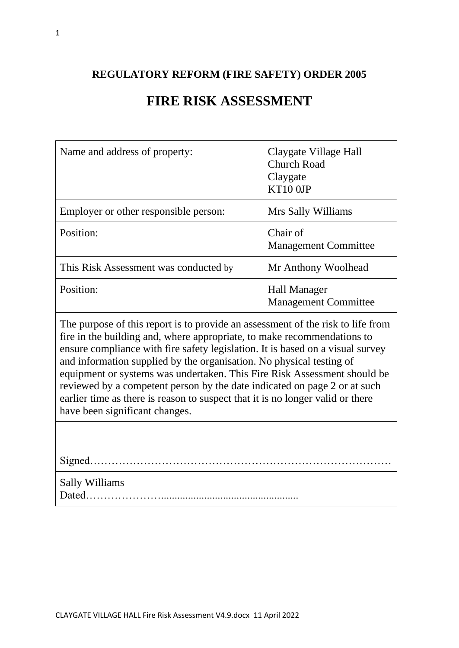## **REGULATORY REFORM (FIRE SAFETY) ORDER 2005**

# **FIRE RISK ASSESSMENT**

| Name and address of property:                                                                                                                                                                                                                                                                                                                                                                                                                                                                                                                                                                     | Claygate Village Hall<br><b>Church Road</b><br>Claygate<br>KT10 OJP |  |  |
|---------------------------------------------------------------------------------------------------------------------------------------------------------------------------------------------------------------------------------------------------------------------------------------------------------------------------------------------------------------------------------------------------------------------------------------------------------------------------------------------------------------------------------------------------------------------------------------------------|---------------------------------------------------------------------|--|--|
| Employer or other responsible person:                                                                                                                                                                                                                                                                                                                                                                                                                                                                                                                                                             | Mrs Sally Williams                                                  |  |  |
| Position:                                                                                                                                                                                                                                                                                                                                                                                                                                                                                                                                                                                         | Chair of<br><b>Management Committee</b>                             |  |  |
| This Risk Assessment was conducted by                                                                                                                                                                                                                                                                                                                                                                                                                                                                                                                                                             | Mr Anthony Woolhead                                                 |  |  |
| Position:                                                                                                                                                                                                                                                                                                                                                                                                                                                                                                                                                                                         | <b>Hall Manager</b><br><b>Management Committee</b>                  |  |  |
| The purpose of this report is to provide an assessment of the risk to life from<br>fire in the building and, where appropriate, to make recommendations to<br>ensure compliance with fire safety legislation. It is based on a visual survey<br>and information supplied by the organisation. No physical testing of<br>equipment or systems was undertaken. This Fire Risk Assessment should be<br>reviewed by a competent person by the date indicated on page 2 or at such<br>earlier time as there is reason to suspect that it is no longer valid or there<br>have been significant changes. |                                                                     |  |  |
|                                                                                                                                                                                                                                                                                                                                                                                                                                                                                                                                                                                                   |                                                                     |  |  |
| <b>Sally Williams</b>                                                                                                                                                                                                                                                                                                                                                                                                                                                                                                                                                                             |                                                                     |  |  |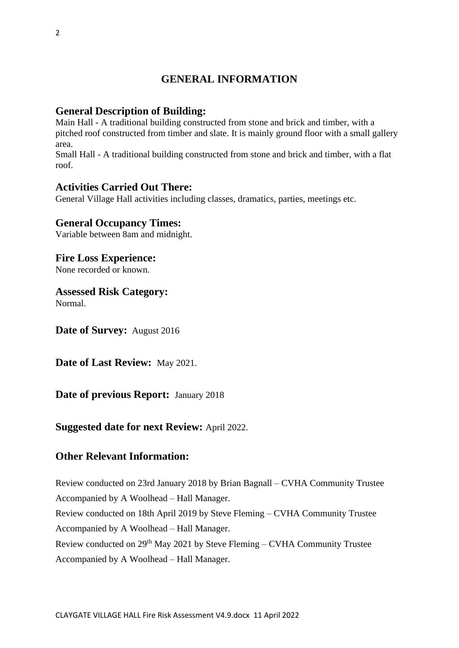#### **GENERAL INFORMATION**

#### **General Description of Building:**

Main Hall - A traditional building constructed from stone and brick and timber, with a pitched roof constructed from timber and slate. It is mainly ground floor with a small gallery area.

Small Hall - A traditional building constructed from stone and brick and timber, with a flat roof.

#### **Activities Carried Out There:**

General Village Hall activities including classes, dramatics, parties, meetings etc.

#### **General Occupancy Times:**

Variable between 8am and midnight.

#### **Fire Loss Experience:**

None recorded or known.

#### **Assessed Risk Category:**

Normal.

**Date of Survey:** August 2016

**Date of Last Review:** May 2021.

#### **Date of previous Report:** January 2018

#### **Suggested date for next Review:** April 2022.

#### **Other Relevant Information:**

Review conducted on 23rd January 2018 by Brian Bagnall – CVHA Community Trustee Accompanied by A Woolhead – Hall Manager. Review conducted on 18th April 2019 by Steve Fleming – CVHA Community Trustee Accompanied by A Woolhead – Hall Manager. Review conducted on  $29<sup>th</sup>$  May 2021 by Steve Fleming – CVHA Community Trustee Accompanied by A Woolhead – Hall Manager.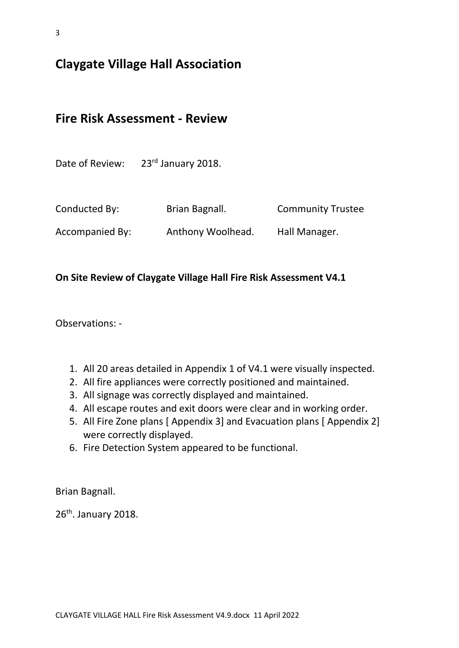# **Claygate Village Hall Association**

### **Fire Risk Assessment - Review**

Date of Review: 23<sup>rd</sup> January 2018.

| Conducted By:   | Brian Bagnall.    | <b>Community Trustee</b> |
|-----------------|-------------------|--------------------------|
| Accompanied By: | Anthony Woolhead. | Hall Manager.            |

#### **On Site Review of Claygate Village Hall Fire Risk Assessment V4.1**

Observations: -

- 1. All 20 areas detailed in Appendix 1 of V4.1 were visually inspected.
- 2. All fire appliances were correctly positioned and maintained.
- 3. All signage was correctly displayed and maintained.
- 4. All escape routes and exit doors were clear and in working order.
- 5. All Fire Zone plans [ Appendix 3] and Evacuation plans [ Appendix 2] were correctly displayed.
- 6. Fire Detection System appeared to be functional.

Brian Bagnall.

26<sup>th</sup>. January 2018.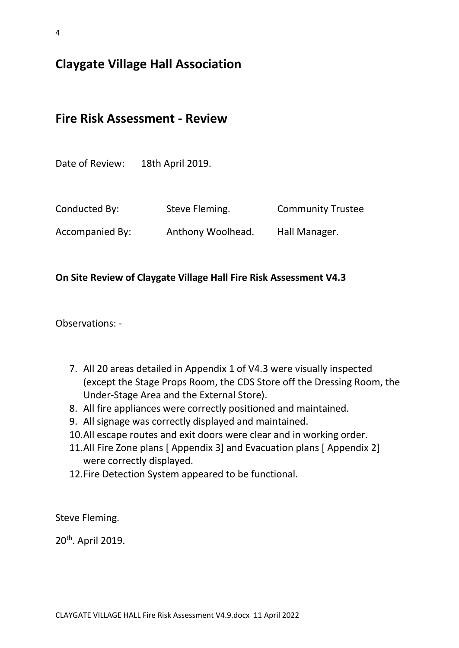4

# **Claygate Village Hall Association**

**Fire Risk Assessment - Review**

| Date of Review: | 18th April 2019.  |                          |
|-----------------|-------------------|--------------------------|
| Conducted By:   | Steve Fleming.    | <b>Community Trustee</b> |
| Accompanied By: | Anthony Woolhead. | Hall Manager.            |

#### **On Site Review of Claygate Village Hall Fire Risk Assessment V4.3**

Observations: -

- 7. All 20 areas detailed in Appendix 1 of V4.3 were visually inspected (except the Stage Props Room, the CDS Store off the Dressing Room, the Under-Stage Area and the External Store).
- 8. All fire appliances were correctly positioned and maintained.
- 9. All signage was correctly displayed and maintained.
- 10.All escape routes and exit doors were clear and in working order.
- 11.All Fire Zone plans [ Appendix 3] and Evacuation plans [ Appendix 2] were correctly displayed.
- 12.Fire Detection System appeared to be functional.

Steve Fleming.

20<sup>th</sup>. April 2019.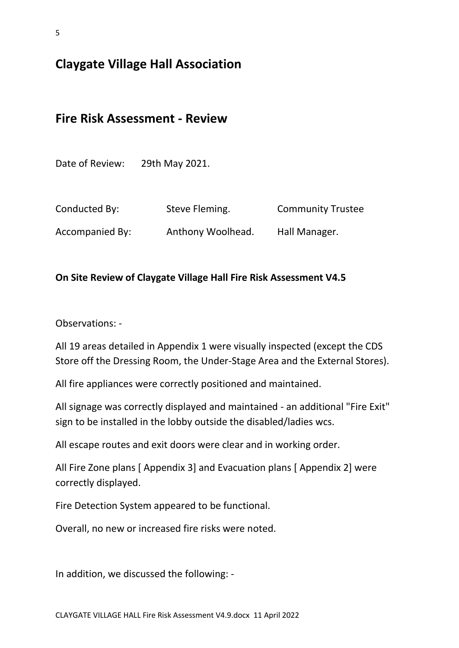**Claygate Village Hall Association**

## **Fire Risk Assessment - Review**

Date of Review: 29th May 2021.

| Conducted By:   | Steve Fleming.    | <b>Community Trustee</b> |
|-----------------|-------------------|--------------------------|
| Accompanied By: | Anthony Woolhead. | Hall Manager.            |

#### **On Site Review of Claygate Village Hall Fire Risk Assessment V4.5**

Observations: -

All 19 areas detailed in Appendix 1 were visually inspected (except the CDS Store off the Dressing Room, the Under-Stage Area and the External Stores).

All fire appliances were correctly positioned and maintained.

All signage was correctly displayed and maintained - an additional "Fire Exit" sign to be installed in the lobby outside the disabled/ladies wcs.

All escape routes and exit doors were clear and in working order.

All Fire Zone plans [ Appendix 3] and Evacuation plans [ Appendix 2] were correctly displayed.

Fire Detection System appeared to be functional.

Overall, no new or increased fire risks were noted.

In addition, we discussed the following: -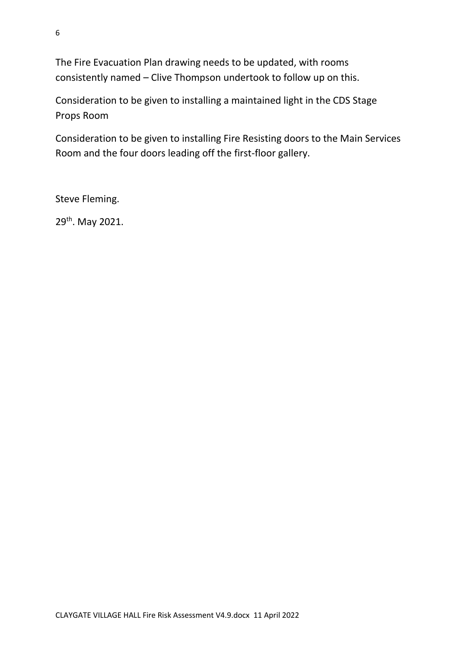The Fire Evacuation Plan drawing needs to be updated, with rooms consistently named – Clive Thompson undertook to follow up on this.

Consideration to be given to installing a maintained light in the CDS Stage Props Room

Consideration to be given to installing Fire Resisting doors to the Main Services Room and the four doors leading off the first-floor gallery.

Steve Fleming.

29<sup>th</sup>. May 2021.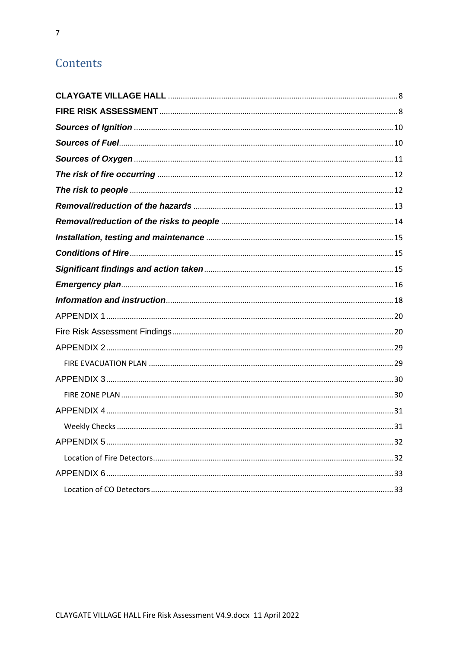# Contents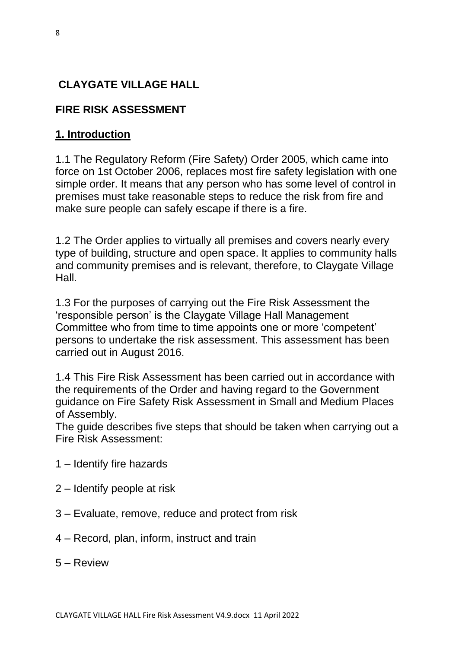# <span id="page-7-0"></span>**CLAYGATE VILLAGE HALL**

# <span id="page-7-1"></span>**FIRE RISK ASSESSMENT**

## **1. Introduction**

1.1 The Regulatory Reform (Fire Safety) Order 2005, which came into force on 1st October 2006, replaces most fire safety legislation with one simple order. It means that any person who has some level of control in premises must take reasonable steps to reduce the risk from fire and make sure people can safely escape if there is a fire.

1.2 The Order applies to virtually all premises and covers nearly every type of building, structure and open space. It applies to community halls and community premises and is relevant, therefore, to Claygate Village Hall.

1.3 For the purposes of carrying out the Fire Risk Assessment the 'responsible person' is the Claygate Village Hall Management Committee who from time to time appoints one or more 'competent' persons to undertake the risk assessment. This assessment has been carried out in August 2016.

1.4 This Fire Risk Assessment has been carried out in accordance with the requirements of the Order and having regard to the Government guidance on Fire Safety Risk Assessment in Small and Medium Places of Assembly.

The guide describes five steps that should be taken when carrying out a Fire Risk Assessment:

- 1 Identify fire hazards
- 2 Identify people at risk
- 3 Evaluate, remove, reduce and protect from risk
- 4 Record, plan, inform, instruct and train
- 5 Review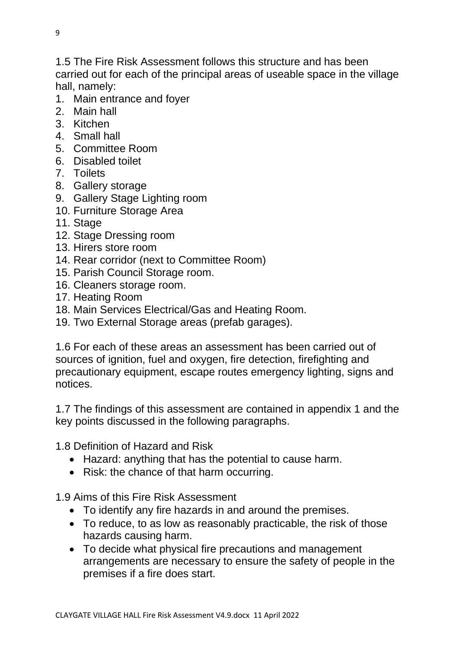1.5 The Fire Risk Assessment follows this structure and has been carried out for each of the principal areas of useable space in the village hall, namely:

- 1. Main entrance and foyer
- 2. Main hall
- 3. Kitchen
- 4. Small hall
- 5. Committee Room
- 6. Disabled toilet
- 7. Toilets
- 8. Gallery storage
- 9. Gallery Stage Lighting room
- 10. Furniture Storage Area
- 11. Stage
- 12. Stage Dressing room
- 13. Hirers store room
- 14. Rear corridor (next to Committee Room)
- 15. Parish Council Storage room.
- 16. Cleaners storage room.
- 17. Heating Room
- 18. Main Services Electrical/Gas and Heating Room.
- 19. Two External Storage areas (prefab garages).

1.6 For each of these areas an assessment has been carried out of sources of ignition, fuel and oxygen, fire detection, firefighting and precautionary equipment, escape routes emergency lighting, signs and notices.

1.7 The findings of this assessment are contained in appendix 1 and the key points discussed in the following paragraphs.

1.8 Definition of Hazard and Risk

- Hazard: anything that has the potential to cause harm.
- Risk: the chance of that harm occurring.

1.9 Aims of this Fire Risk Assessment

- To identify any fire hazards in and around the premises.
- To reduce, to as low as reasonably practicable, the risk of those hazards causing harm.
- To decide what physical fire precautions and management arrangements are necessary to ensure the safety of people in the premises if a fire does start.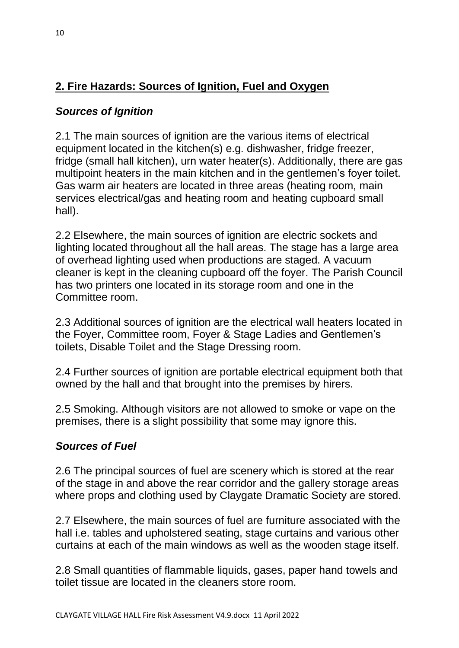# **2. Fire Hazards: Sources of Ignition, Fuel and Oxygen**

## <span id="page-9-0"></span>*Sources of Ignition*

2.1 The main sources of ignition are the various items of electrical equipment located in the kitchen(s) e.g. dishwasher, fridge freezer, fridge (small hall kitchen), urn water heater(s). Additionally, there are gas multipoint heaters in the main kitchen and in the gentlemen's foyer toilet. Gas warm air heaters are located in three areas (heating room, main services electrical/gas and heating room and heating cupboard small hall).

2.2 Elsewhere, the main sources of ignition are electric sockets and lighting located throughout all the hall areas. The stage has a large area of overhead lighting used when productions are staged. A vacuum cleaner is kept in the cleaning cupboard off the foyer. The Parish Council has two printers one located in its storage room and one in the Committee room.

2.3 Additional sources of ignition are the electrical wall heaters located in the Foyer, Committee room, Foyer & Stage Ladies and Gentlemen's toilets, Disable Toilet and the Stage Dressing room.

2.4 Further sources of ignition are portable electrical equipment both that owned by the hall and that brought into the premises by hirers.

2.5 Smoking. Although visitors are not allowed to smoke or vape on the premises, there is a slight possibility that some may ignore this.

## <span id="page-9-1"></span>*Sources of Fuel*

2.6 The principal sources of fuel are scenery which is stored at the rear of the stage in and above the rear corridor and the gallery storage areas where props and clothing used by Claygate Dramatic Society are stored.

2.7 Elsewhere, the main sources of fuel are furniture associated with the hall i.e. tables and upholstered seating, stage curtains and various other curtains at each of the main windows as well as the wooden stage itself.

2.8 Small quantities of flammable liquids, gases, paper hand towels and toilet tissue are located in the cleaners store room.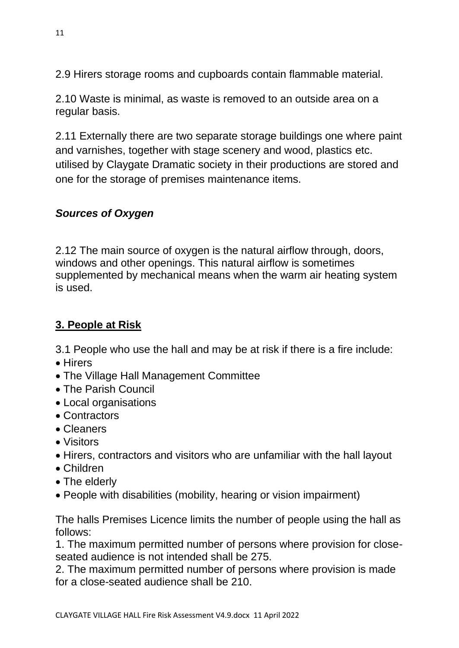2.9 Hirers storage rooms and cupboards contain flammable material.

2.10 Waste is minimal, as waste is removed to an outside area on a regular basis.

2.11 Externally there are two separate storage buildings one where paint and varnishes, together with stage scenery and wood, plastics etc. utilised by Claygate Dramatic society in their productions are stored and one for the storage of premises maintenance items.

## <span id="page-10-0"></span>*Sources of Oxygen*

2.12 The main source of oxygen is the natural airflow through, doors, windows and other openings. This natural airflow is sometimes supplemented by mechanical means when the warm air heating system is used.

# **3. People at Risk**

3.1 People who use the hall and may be at risk if there is a fire include:

- Hirers
- The Village Hall Management Committee
- The Parish Council
- Local organisations
- Contractors
- Cleaners
- Visitors
- Hirers, contractors and visitors who are unfamiliar with the hall layout
- Children
- The elderly
- People with disabilities (mobility, hearing or vision impairment)

The halls Premises Licence limits the number of people using the hall as follows:

1. The maximum permitted number of persons where provision for closeseated audience is not intended shall be 275.

2. The maximum permitted number of persons where provision is made for a close-seated audience shall be 210.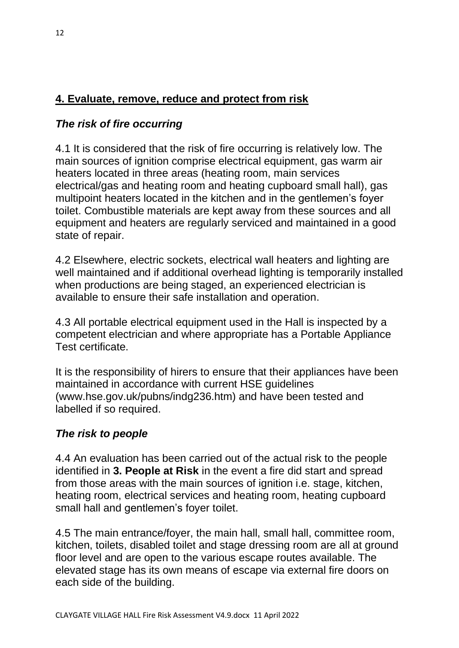### **4. Evaluate, remove, reduce and protect from risk**

#### <span id="page-11-0"></span>*The risk of fire occurring*

4.1 It is considered that the risk of fire occurring is relatively low. The main sources of ignition comprise electrical equipment, gas warm air heaters located in three areas (heating room, main services electrical/gas and heating room and heating cupboard small hall), gas multipoint heaters located in the kitchen and in the gentlemen's foyer toilet. Combustible materials are kept away from these sources and all equipment and heaters are regularly serviced and maintained in a good state of repair.

4.2 Elsewhere, electric sockets, electrical wall heaters and lighting are well maintained and if additional overhead lighting is temporarily installed when productions are being staged, an experienced electrician is available to ensure their safe installation and operation.

4.3 All portable electrical equipment used in the Hall is inspected by a competent electrician and where appropriate has a Portable Appliance Test certificate.

It is the responsibility of hirers to ensure that their appliances have been maintained in accordance with current HSE guidelines (www.hse.gov.uk/pubns/indg236.htm) and have been tested and labelled if so required.

#### <span id="page-11-1"></span>*The risk to people*

4.4 An evaluation has been carried out of the actual risk to the people identified in **3. People at Risk** in the event a fire did start and spread from those areas with the main sources of ignition i.e. stage, kitchen, heating room, electrical services and heating room, heating cupboard small hall and gentlemen's foyer toilet.

4.5 The main entrance/foyer, the main hall, small hall, committee room, kitchen, toilets, disabled toilet and stage dressing room are all at ground floor level and are open to the various escape routes available. The elevated stage has its own means of escape via external fire doors on each side of the building.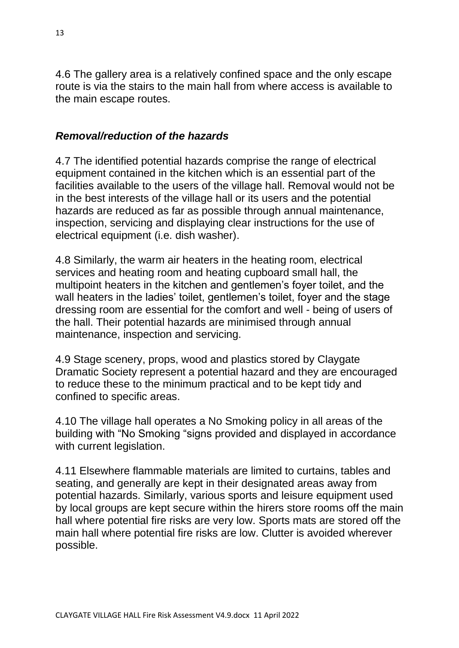4.6 The gallery area is a relatively confined space and the only escape route is via the stairs to the main hall from where access is available to the main escape routes.

#### <span id="page-12-0"></span>*Removal/reduction of the hazards*

4.7 The identified potential hazards comprise the range of electrical equipment contained in the kitchen which is an essential part of the facilities available to the users of the village hall. Removal would not be in the best interests of the village hall or its users and the potential hazards are reduced as far as possible through annual maintenance, inspection, servicing and displaying clear instructions for the use of electrical equipment (i.e. dish washer).

4.8 Similarly, the warm air heaters in the heating room, electrical services and heating room and heating cupboard small hall, the multipoint heaters in the kitchen and gentlemen's foyer toilet, and the wall heaters in the ladies' toilet, gentlemen's toilet, foyer and the stage dressing room are essential for the comfort and well - being of users of the hall. Their potential hazards are minimised through annual maintenance, inspection and servicing.

4.9 Stage scenery, props, wood and plastics stored by Claygate Dramatic Society represent a potential hazard and they are encouraged to reduce these to the minimum practical and to be kept tidy and confined to specific areas.

4.10 The village hall operates a No Smoking policy in all areas of the building with "No Smoking "signs provided and displayed in accordance with current legislation.

4.11 Elsewhere flammable materials are limited to curtains, tables and seating, and generally are kept in their designated areas away from potential hazards. Similarly, various sports and leisure equipment used by local groups are kept secure within the hirers store rooms off the main hall where potential fire risks are very low. Sports mats are stored off the main hall where potential fire risks are low. Clutter is avoided wherever possible.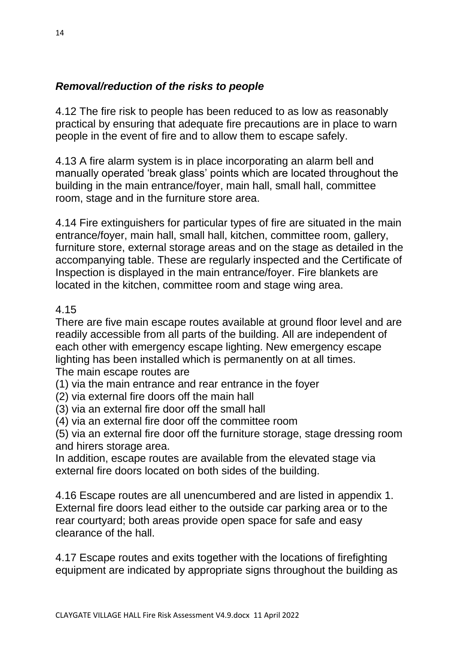### <span id="page-13-0"></span>*Removal/reduction of the risks to people*

4.12 The fire risk to people has been reduced to as low as reasonably practical by ensuring that adequate fire precautions are in place to warn people in the event of fire and to allow them to escape safely.

4.13 A fire alarm system is in place incorporating an alarm bell and manually operated 'break glass' points which are located throughout the building in the main entrance/foyer, main hall, small hall, committee room, stage and in the furniture store area.

4.14 Fire extinguishers for particular types of fire are situated in the main entrance/foyer, main hall, small hall, kitchen, committee room, gallery, furniture store, external storage areas and on the stage as detailed in the accompanying table. These are regularly inspected and the Certificate of Inspection is displayed in the main entrance/foyer. Fire blankets are located in the kitchen, committee room and stage wing area.

#### 4.15

There are five main escape routes available at ground floor level and are readily accessible from all parts of the building. All are independent of each other with emergency escape lighting. New emergency escape lighting has been installed which is permanently on at all times.

The main escape routes are

(1) via the main entrance and rear entrance in the foyer

(2) via external fire doors off the main hall

(3) via an external fire door off the small hall

(4) via an external fire door off the committee room

(5) via an external fire door off the furniture storage, stage dressing room and hirers storage area.

In addition, escape routes are available from the elevated stage via external fire doors located on both sides of the building.

4.16 Escape routes are all unencumbered and are listed in appendix 1. External fire doors lead either to the outside car parking area or to the rear courtyard; both areas provide open space for safe and easy clearance of the hall.

4.17 Escape routes and exits together with the locations of firefighting equipment are indicated by appropriate signs throughout the building as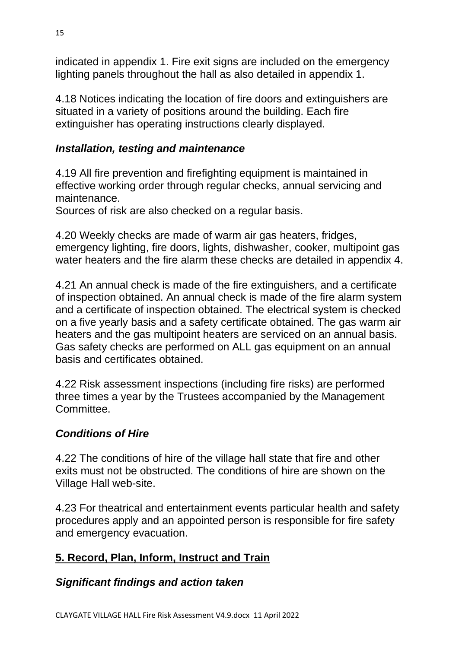indicated in appendix 1. Fire exit signs are included on the emergency lighting panels throughout the hall as also detailed in appendix 1.

4.18 Notices indicating the location of fire doors and extinguishers are situated in a variety of positions around the building. Each fire extinguisher has operating instructions clearly displayed.

### <span id="page-14-0"></span>*Installation, testing and maintenance*

4.19 All fire prevention and firefighting equipment is maintained in effective working order through regular checks, annual servicing and maintenance.

Sources of risk are also checked on a regular basis.

4.20 Weekly checks are made of warm air gas heaters, fridges, emergency lighting, fire doors, lights, dishwasher, cooker, multipoint gas water heaters and the fire alarm these checks are detailed in appendix 4.

4.21 An annual check is made of the fire extinguishers, and a certificate of inspection obtained. An annual check is made of the fire alarm system and a certificate of inspection obtained. The electrical system is checked on a five yearly basis and a safety certificate obtained. The gas warm air heaters and the gas multipoint heaters are serviced on an annual basis. Gas safety checks are performed on ALL gas equipment on an annual basis and certificates obtained.

4.22 Risk assessment inspections (including fire risks) are performed three times a year by the Trustees accompanied by the Management Committee.

### <span id="page-14-1"></span>*Conditions of Hire*

4.22 The conditions of hire of the village hall state that fire and other exits must not be obstructed. The conditions of hire are shown on the Village Hall web-site.

4.23 For theatrical and entertainment events particular health and safety procedures apply and an appointed person is responsible for fire safety and emergency evacuation.

### **5. Record, Plan, Inform, Instruct and Train**

### <span id="page-14-2"></span>*Significant findings and action taken*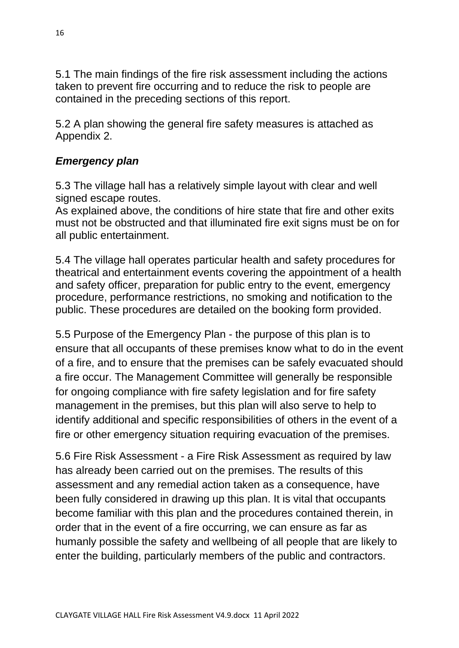5.1 The main findings of the fire risk assessment including the actions taken to prevent fire occurring and to reduce the risk to people are contained in the preceding sections of this report.

5.2 A plan showing the general fire safety measures is attached as Appendix 2.

### <span id="page-15-0"></span>*Emergency plan*

5.3 The village hall has a relatively simple layout with clear and well signed escape routes.

As explained above, the conditions of hire state that fire and other exits must not be obstructed and that illuminated fire exit signs must be on for all public entertainment.

5.4 The village hall operates particular health and safety procedures for theatrical and entertainment events covering the appointment of a health and safety officer, preparation for public entry to the event, emergency procedure, performance restrictions, no smoking and notification to the public. These procedures are detailed on the booking form provided.

5.5 Purpose of the Emergency Plan - the purpose of this plan is to ensure that all occupants of these premises know what to do in the event of a fire, and to ensure that the premises can be safely evacuated should a fire occur. The Management Committee will generally be responsible for ongoing compliance with fire safety legislation and for fire safety management in the premises, but this plan will also serve to help to identify additional and specific responsibilities of others in the event of a fire or other emergency situation requiring evacuation of the premises.

5.6 Fire Risk Assessment - a Fire Risk Assessment as required by law has already been carried out on the premises. The results of this assessment and any remedial action taken as a consequence, have been fully considered in drawing up this plan. It is vital that occupants become familiar with this plan and the procedures contained therein, in order that in the event of a fire occurring, we can ensure as far as humanly possible the safety and wellbeing of all people that are likely to enter the building, particularly members of the public and contractors.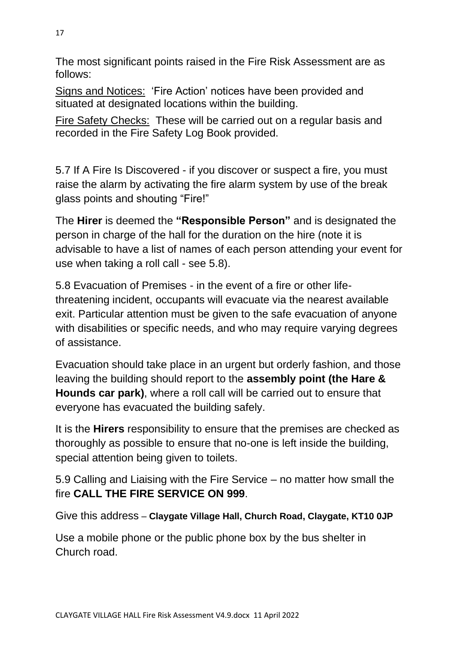The most significant points raised in the Fire Risk Assessment are as follows:

Signs and Notices: 'Fire Action' notices have been provided and situated at designated locations within the building.

Fire Safety Checks: These will be carried out on a regular basis and recorded in the Fire Safety Log Book provided.

5.7 If A Fire Is Discovered - if you discover or suspect a fire, you must raise the alarm by activating the fire alarm system by use of the break glass points and shouting "Fire!"

The **Hirer** is deemed the **"Responsible Person"** and is designated the person in charge of the hall for the duration on the hire (note it is advisable to have a list of names of each person attending your event for use when taking a roll call - see 5.8).

5.8 Evacuation of Premises - in the event of a fire or other lifethreatening incident, occupants will evacuate via the nearest available exit. Particular attention must be given to the safe evacuation of anyone with disabilities or specific needs, and who may require varying degrees of assistance.

Evacuation should take place in an urgent but orderly fashion, and those leaving the building should report to the **assembly point (the Hare & Hounds car park)**, where a roll call will be carried out to ensure that everyone has evacuated the building safely.

It is the **Hirers** responsibility to ensure that the premises are checked as thoroughly as possible to ensure that no-one is left inside the building, special attention being given to toilets.

5.9 Calling and Liaising with the Fire Service – no matter how small the fire **CALL THE FIRE SERVICE ON 999**.

Give this address – **Claygate Village Hall, Church Road, Claygate, KT10 0JP**

Use a mobile phone or the public phone box by the bus shelter in Church road.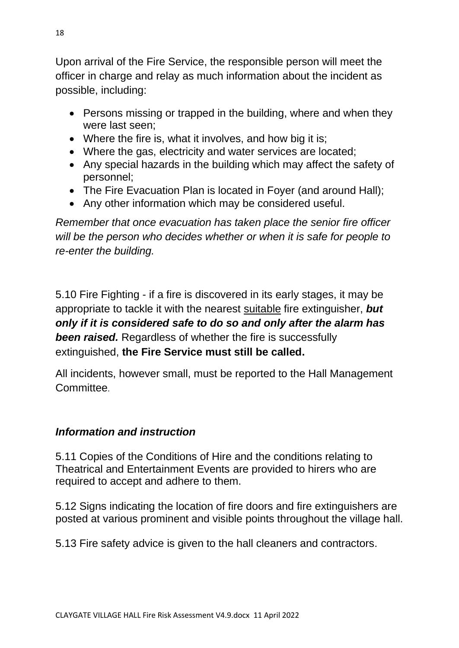Upon arrival of the Fire Service, the responsible person will meet the officer in charge and relay as much information about the incident as possible, including:

- Persons missing or trapped in the building, where and when they were last seen;
- Where the fire is, what it involves, and how big it is:
- Where the gas, electricity and water services are located;
- Any special hazards in the building which may affect the safety of personnel;
- The Fire Evacuation Plan is located in Foyer (and around Hall);
- Any other information which may be considered useful.

*Remember that once evacuation has taken place the senior fire officer will be the person who decides whether or when it is safe for people to re-enter the building.*

5.10 Fire Fighting - if a fire is discovered in its early stages, it may be appropriate to tackle it with the nearest suitable fire extinguisher, *but only if it is considered safe to do so and only after the alarm has been raised.* Regardless of whether the fire is successfully extinguished, **the Fire Service must still be called.**

All incidents, however small, must be reported to the Hall Management Committee.

### <span id="page-17-0"></span>*Information and instruction*

5.11 Copies of the Conditions of Hire and the conditions relating to Theatrical and Entertainment Events are provided to hirers who are required to accept and adhere to them.

5.12 Signs indicating the location of fire doors and fire extinguishers are posted at various prominent and visible points throughout the village hall.

5.13 Fire safety advice is given to the hall cleaners and contractors.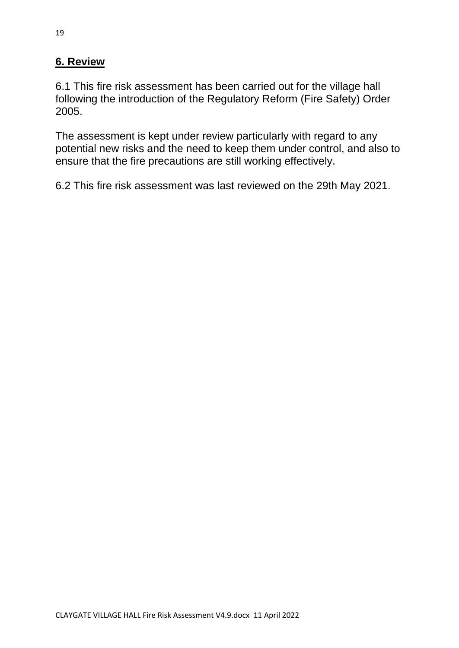### **6. Review**

6.1 This fire risk assessment has been carried out for the village hall following the introduction of the Regulatory Reform (Fire Safety) Order 2005.

The assessment is kept under review particularly with regard to any potential new risks and the need to keep them under control, and also to ensure that the fire precautions are still working effectively.

6.2 This fire risk assessment was last reviewed on the 29th May 2021.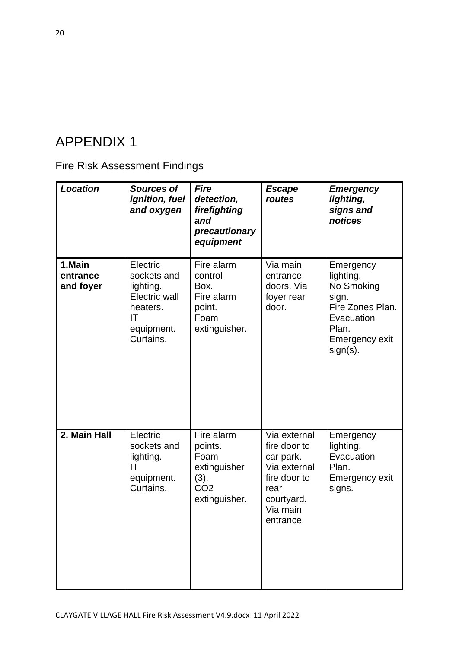# <span id="page-19-1"></span><span id="page-19-0"></span>Fire Risk Assessment Findings

| <b>Location</b>                 | <b>Sources of</b><br>ignition, fuel<br>and oxygen                                                         | <b>Fire</b><br>detection,<br>firefighting<br>and<br>precautionary<br>equipment            | <b>Escape</b><br>routes                                                                                                  | <b>Emergency</b><br>lighting,<br>signs and<br>notices                                                                     |
|---------------------------------|-----------------------------------------------------------------------------------------------------------|-------------------------------------------------------------------------------------------|--------------------------------------------------------------------------------------------------------------------------|---------------------------------------------------------------------------------------------------------------------------|
| 1.Main<br>entrance<br>and foyer | Electric<br>sockets and<br>lighting.<br><b>Electric wall</b><br>heaters.<br>IT<br>equipment.<br>Curtains. | Fire alarm<br>control<br>Box.<br>Fire alarm<br>point.<br>Foam<br>extinguisher.            | Via main<br>entrance<br>doors. Via<br>foyer rear<br>door.                                                                | Emergency<br>lighting.<br>No Smoking<br>sign.<br>Fire Zones Plan.<br>Evacuation<br>Plan.<br>Emergency exit<br>$sign(s)$ . |
| 2. Main Hall                    | Electric<br>sockets and<br>lighting.<br>IT<br>equipment.<br>Curtains.                                     | Fire alarm<br>points.<br>Foam<br>extinguisher<br>(3).<br>CO <sub>2</sub><br>extinguisher. | Via external<br>fire door to<br>car park.<br>Via external<br>fire door to<br>rear<br>courtyard.<br>Via main<br>entrance. | Emergency<br>lighting.<br>Evacuation<br>Plan.<br><b>Emergency exit</b><br>signs.                                          |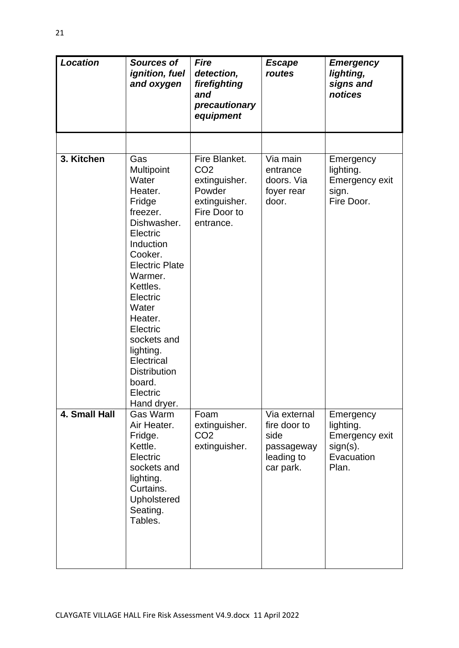| <b>Location</b> | <b>Sources of</b><br>ignition, fuel<br>and oxygen                                                                                                                                                                                                                                                                | <b>Fire</b><br>detection,<br>firefighting<br>and<br>precautionary<br>equipment                            | <b>Escape</b><br>routes                                                       | <b>Emergency</b><br>lighting,<br>signs and<br>notices                          |
|-----------------|------------------------------------------------------------------------------------------------------------------------------------------------------------------------------------------------------------------------------------------------------------------------------------------------------------------|-----------------------------------------------------------------------------------------------------------|-------------------------------------------------------------------------------|--------------------------------------------------------------------------------|
|                 |                                                                                                                                                                                                                                                                                                                  |                                                                                                           |                                                                               |                                                                                |
| 3. Kitchen      | Gas<br>Multipoint<br>Water<br>Heater.<br>Fridge<br>freezer.<br>Dishwasher.<br>Electric<br>Induction<br>Cooker.<br><b>Electric Plate</b><br>Warmer.<br>Kettles.<br>Electric<br>Water<br>Heater.<br>Electric<br>sockets and<br>lighting.<br>Electrical<br><b>Distribution</b><br>board.<br>Electric<br>Hand dryer. | Fire Blanket.<br>CO <sub>2</sub><br>extinguisher.<br>Powder<br>extinguisher.<br>Fire Door to<br>entrance. | Via main<br>entrance<br>doors. Via<br>foyer rear<br>door.                     | Emergency<br>lighting.<br><b>Emergency exit</b><br>sign.<br>Fire Door.         |
| 4. Small Hall   | Gas Warm<br>Air Heater.<br>Fridge.<br>Kettle.<br>Electric<br>sockets and<br>lighting.<br>Curtains.<br>Upholstered<br>Seating.<br>Tables.                                                                                                                                                                         | Foam<br>extinguisher.<br>CO <sub>2</sub><br>extinguisher.                                                 | Via external<br>fire door to<br>side<br>passageway<br>leading to<br>car park. | Emergency<br>lighting.<br>Emergency exit<br>$sign(s)$ .<br>Evacuation<br>Plan. |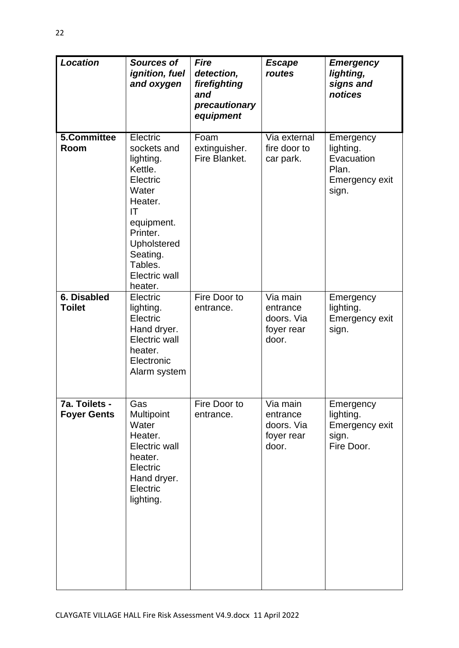| <b>Location</b>                     | <b>Sources of</b><br>ignition, fuel<br>and oxygen                                                                                                                                        | <b>Fire</b><br>detection,<br>firefighting<br>and<br>precautionary<br>equipment | <b>Escape</b><br>routes                                   | <b>Emergency</b><br>lighting,<br>signs and<br>notices                           |
|-------------------------------------|------------------------------------------------------------------------------------------------------------------------------------------------------------------------------------------|--------------------------------------------------------------------------------|-----------------------------------------------------------|---------------------------------------------------------------------------------|
| 5.Committee<br>Room                 | Electric<br>sockets and<br>lighting.<br>Kettle.<br>Electric<br>Water<br>Heater.<br>IT<br>equipment.<br>Printer.<br>Upholstered<br>Seating.<br>Tables.<br><b>Electric wall</b><br>heater. | Foam<br>extinguisher.<br>Fire Blanket.                                         | Via external<br>fire door to<br>car park.                 | Emergency<br>lighting.<br>Evacuation<br>Plan.<br><b>Emergency exit</b><br>sign. |
| 6. Disabled<br><b>Toilet</b>        | Electric<br>lighting.<br>Electric<br>Hand dryer.<br><b>Electric wall</b><br>heater.<br>Electronic<br>Alarm system                                                                        | Fire Door to<br>entrance.                                                      | Via main<br>entrance<br>doors. Via<br>foyer rear<br>door. | Emergency<br>lighting.<br>Emergency exit<br>sign.                               |
| 7a. Toilets -<br><b>Foyer Gents</b> | Gas<br>Multipoint<br>Water<br>Heater.<br>Electric wall<br>heater.<br>Electric<br>Hand dryer.<br>Electric<br>lighting.                                                                    | Fire Door to<br>entrance.                                                      | Via main<br>entrance<br>doors. Via<br>foyer rear<br>door. | Emergency<br>lighting.<br><b>Emergency exit</b><br>sign.<br>Fire Door.          |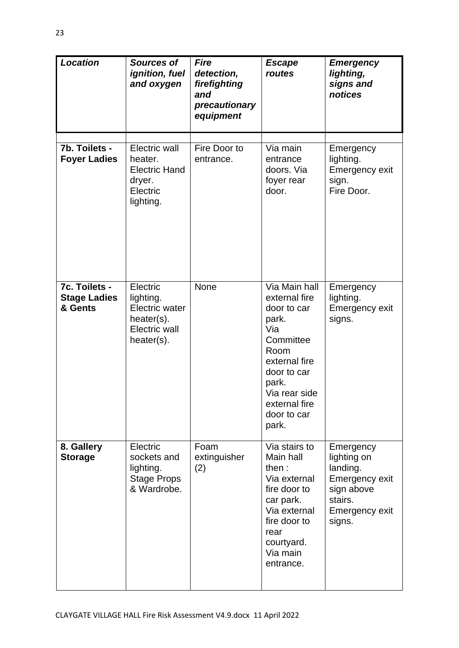| <b>Location</b>                                 | <b>Sources of</b><br>ignition, fuel<br>and oxygen                                                 | <b>Fire</b><br>detection,<br>firefighting<br>and<br>precautionary<br>equipment | <b>Escape</b><br>routes                                                                                                                                                               | <b>Emergency</b><br>lighting,<br>signs and<br>notices                                                              |
|-------------------------------------------------|---------------------------------------------------------------------------------------------------|--------------------------------------------------------------------------------|---------------------------------------------------------------------------------------------------------------------------------------------------------------------------------------|--------------------------------------------------------------------------------------------------------------------|
| 7b. Toilets -<br><b>Foyer Ladies</b>            | Electric wall<br>heater.<br><b>Electric Hand</b><br>dryer.<br>Electric<br>lighting.               | Fire Door to<br>entrance.                                                      | Via main<br>entrance<br>doors. Via<br>foyer rear<br>door.                                                                                                                             | Emergency<br>lighting.<br><b>Emergency exit</b><br>sign.<br>Fire Door.                                             |
| 7c. Toilets -<br><b>Stage Ladies</b><br>& Gents | Electric<br>lighting.<br><b>Electric water</b><br>$heater(s)$ .<br>Electric wall<br>$heater(s)$ . | None                                                                           | Via Main hall<br>external fire<br>door to car<br>park.<br>Via<br>Committee<br>Room<br>external fire<br>door to car<br>park.<br>Via rear side<br>external fire<br>door to car<br>park. | Emergency<br>lighting.<br><b>Emergency exit</b><br>signs.                                                          |
| 8. Gallery<br><b>Storage</b>                    | Electric<br>sockets and<br>lighting.<br><b>Stage Props</b><br>& Wardrobe.                         | Foam<br>extinguisher<br>(2)                                                    | Via stairs to<br>Main hall<br>then:<br>Via external<br>fire door to<br>car park.<br>Via external<br>fire door to<br>rear<br>courtyard.<br>Via main<br>entrance.                       | Emergency<br>lighting on<br>landing.<br>Emergency exit<br>sign above<br>stairs.<br><b>Emergency exit</b><br>signs. |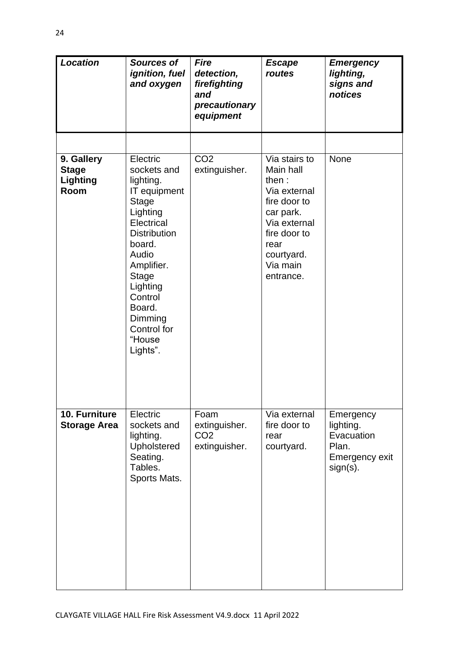| <b>Location</b>                                | <b>Sources of</b><br>ignition, fuel<br>and oxygen                                                                                                                                                                                                       | <b>Fire</b><br>detection,<br>firefighting<br>and<br>precautionary<br>equipment | <b>Escape</b><br>routes                                                                                                                                         | <b>Emergency</b><br>lighting,<br>signs and<br>notices                          |
|------------------------------------------------|---------------------------------------------------------------------------------------------------------------------------------------------------------------------------------------------------------------------------------------------------------|--------------------------------------------------------------------------------|-----------------------------------------------------------------------------------------------------------------------------------------------------------------|--------------------------------------------------------------------------------|
|                                                |                                                                                                                                                                                                                                                         |                                                                                |                                                                                                                                                                 |                                                                                |
| 9. Gallery<br><b>Stage</b><br>Lighting<br>Room | Electric<br>sockets and<br>lighting.<br>IT equipment<br><b>Stage</b><br>Lighting<br>Electrical<br><b>Distribution</b><br>board.<br>Audio<br>Amplifier.<br><b>Stage</b><br>Lighting<br>Control<br>Board.<br>Dimming<br>Control for<br>"House<br>Lights". | CO <sub>2</sub><br>extinguisher.                                               | Via stairs to<br>Main hall<br>then:<br>Via external<br>fire door to<br>car park.<br>Via external<br>fire door to<br>rear<br>courtyard.<br>Via main<br>entrance. | <b>None</b>                                                                    |
| 10. Furniture<br><b>Storage Area</b>           | Electric<br>sockets and<br>lighting.<br>Upholstered<br>Seating.<br>Tables.<br>Sports Mats.                                                                                                                                                              | Foam<br>extinguisher.<br>CO <sub>2</sub><br>extinguisher.                      | Via external<br>fire door to<br>rear<br>courtyard.                                                                                                              | Emergency<br>lighting.<br>Evacuation<br>Plan.<br>Emergency exit<br>$sign(s)$ . |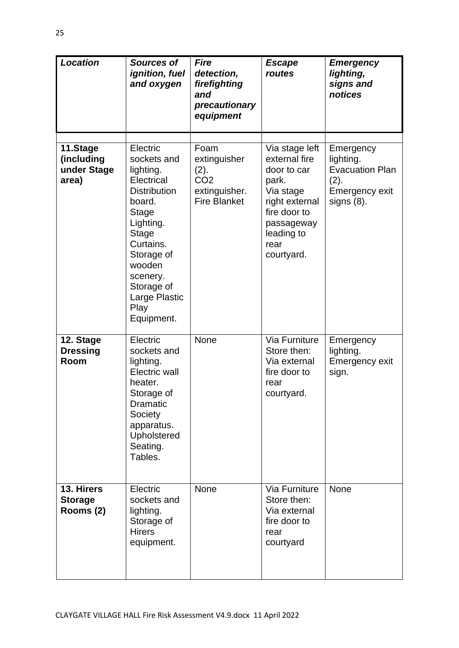| <b>Location</b>                                | <b>Sources of</b><br>ignition, fuel<br>and oxygen                                                                                                                                                                                      | <b>Fire</b><br>detection,<br>firefighting<br>and<br>precautionary<br>equipment          | <b>Escape</b><br>routes                                                                                                                                  | <b>Emergency</b><br>lighting,<br>signs and<br>notices                                             |
|------------------------------------------------|----------------------------------------------------------------------------------------------------------------------------------------------------------------------------------------------------------------------------------------|-----------------------------------------------------------------------------------------|----------------------------------------------------------------------------------------------------------------------------------------------------------|---------------------------------------------------------------------------------------------------|
| 11.Stage<br>(including<br>under Stage<br>area) | Electric<br>sockets and<br>lighting.<br>Electrical<br><b>Distribution</b><br>board.<br><b>Stage</b><br>Lighting.<br><b>Stage</b><br>Curtains.<br>Storage of<br>wooden<br>scenery.<br>Storage of<br>Large Plastic<br>Play<br>Equipment. | Foam<br>extinguisher<br>(2).<br>CO <sub>2</sub><br>extinguisher.<br><b>Fire Blanket</b> | Via stage left<br>external fire<br>door to car<br>park.<br>Via stage<br>right external<br>fire door to<br>passageway<br>leading to<br>rear<br>courtyard. | Emergency<br>lighting.<br><b>Evacuation Plan</b><br>(2).<br><b>Emergency exit</b><br>$signs(8)$ . |
| 12. Stage<br><b>Dressing</b><br>Room           | Electric<br>sockets and<br>lighting.<br>Electric wall<br>heater.<br>Storage of<br>Dramatic<br>Society<br>apparatus.<br>Upholstered<br>Seating.<br>Tables.                                                                              | None                                                                                    | Via Furniture<br>Store then:<br>Via external<br>fire door to<br>rear<br>courtyard.                                                                       | Emergency<br>lighting.<br>Emergency exit<br>sign.                                                 |
| 13. Hirers<br><b>Storage</b><br>Rooms (2)      | Electric<br>sockets and<br>lighting.<br>Storage of<br><b>Hirers</b><br>equipment.                                                                                                                                                      | None                                                                                    | Via Furniture<br>Store then:<br>Via external<br>fire door to<br>rear<br>courtyard                                                                        | <b>None</b>                                                                                       |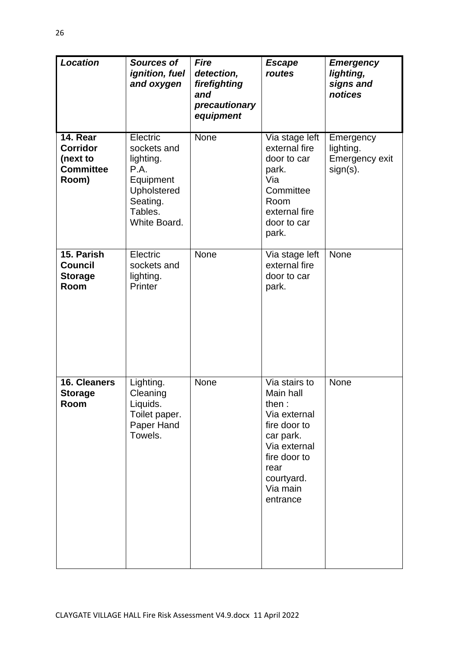| <b>Location</b>                                                      | <b>Sources of</b><br>ignition, fuel<br>and oxygen                                                               | <b>Fire</b><br>detection,<br>firefighting<br>and<br>precautionary<br>equipment | <b>Escape</b><br>routes                                                                                                                                        | <b>Emergency</b><br>lighting,<br>signs and<br>notices          |
|----------------------------------------------------------------------|-----------------------------------------------------------------------------------------------------------------|--------------------------------------------------------------------------------|----------------------------------------------------------------------------------------------------------------------------------------------------------------|----------------------------------------------------------------|
| 14. Rear<br><b>Corridor</b><br>(next to<br><b>Committee</b><br>Room) | Electric<br>sockets and<br>lighting.<br>P.A.<br>Equipment<br>Upholstered<br>Seating.<br>Tables.<br>White Board. | <b>None</b>                                                                    | Via stage left<br>external fire<br>door to car<br>park.<br>Via<br>Committee<br>Room<br>external fire<br>door to car<br>park.                                   | Emergency<br>lighting.<br><b>Emergency exit</b><br>$sign(s)$ . |
| 15. Parish<br><b>Council</b><br><b>Storage</b><br>Room               | Electric<br>sockets and<br>lighting.<br>Printer                                                                 | None                                                                           | Via stage left<br>external fire<br>door to car<br>park.                                                                                                        | <b>None</b>                                                    |
| 16. Cleaners<br><b>Storage</b><br>Room                               | Lighting.<br>Cleaning<br>Liquids.<br>Toilet paper.<br>Paper Hand<br>Towels.                                     | None                                                                           | Via stairs to<br>Main hall<br>then:<br>Via external<br>fire door to<br>car park.<br>Via external<br>fire door to<br>rear<br>courtyard.<br>Via main<br>entrance | None                                                           |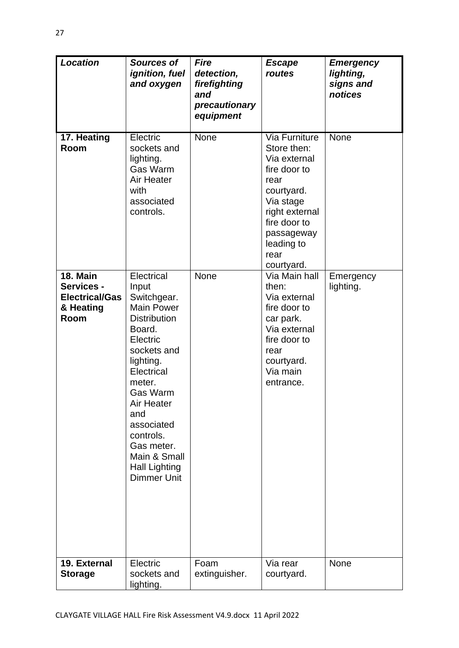| <b>Location</b>                                                             | <b>Sources of</b><br><i>ignition, fuel</i><br>and oxygen                                                                                                                                                                                                                                                       | <b>Fire</b><br>detection,<br>firefighting<br>and<br>precautionary<br>equipment | <b>Escape</b><br>routes                                                                                                                                                                    | <b>Emergency</b><br>lighting,<br>signs and<br>notices |
|-----------------------------------------------------------------------------|----------------------------------------------------------------------------------------------------------------------------------------------------------------------------------------------------------------------------------------------------------------------------------------------------------------|--------------------------------------------------------------------------------|--------------------------------------------------------------------------------------------------------------------------------------------------------------------------------------------|-------------------------------------------------------|
| 17. Heating<br>Room                                                         | Electric<br>sockets and<br>lighting.<br>Gas Warm<br><b>Air Heater</b><br>with<br>associated<br>controls.                                                                                                                                                                                                       | None                                                                           | <b>Via Furniture</b><br>Store then:<br>Via external<br>fire door to<br>rear<br>courtyard.<br>Via stage<br>right external<br>fire door to<br>passageway<br>leading to<br>rear<br>courtyard. | <b>None</b>                                           |
| <b>18. Main</b><br>Services -<br><b>Electrical/Gas</b><br>& Heating<br>Room | Electrical<br>Input<br>Switchgear.<br><b>Main Power</b><br><b>Distribution</b><br>Board.<br>Electric<br>sockets and<br>lighting.<br>Electrical<br>meter.<br><b>Gas Warm</b><br><b>Air Heater</b><br>and<br>associated<br>controls.<br>Gas meter.<br>Main & Small<br><b>Hall Lighting</b><br><b>Dimmer Unit</b> | None                                                                           | Via Main hall<br>then:<br>Via external<br>fire door to<br>car park.<br>Via external<br>fire door to<br>rear<br>courtyard.<br>Via main<br>entrance.                                         | Emergency<br>lighting.                                |
| 19. External<br><b>Storage</b>                                              | Electric<br>sockets and<br>lighting.                                                                                                                                                                                                                                                                           | Foam<br>extinguisher.                                                          | Via rear<br>courtyard.                                                                                                                                                                     | None                                                  |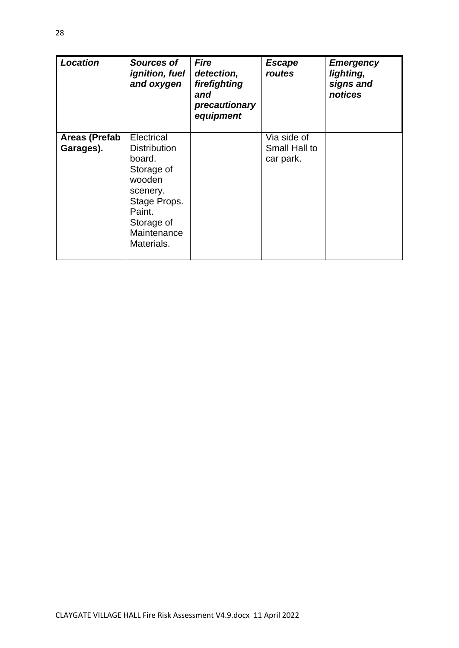| <b>Location</b>                   | Sources of<br><i>ignition, fuel</i><br>and oxygen                                                                                                    | <b>Fire</b><br>detection,<br>firefighting<br>and<br>precautionary<br>equipment | <b>Escape</b><br>routes                   | <b>Emergency</b><br>lighting,<br>signs and<br>notices |
|-----------------------------------|------------------------------------------------------------------------------------------------------------------------------------------------------|--------------------------------------------------------------------------------|-------------------------------------------|-------------------------------------------------------|
| <b>Areas (Prefab</b><br>Garages). | Electrical<br><b>Distribution</b><br>board.<br>Storage of<br>wooden<br>scenery.<br>Stage Props.<br>Paint.<br>Storage of<br>Maintenance<br>Materials. |                                                                                | Via side of<br>Small Hall to<br>car park. |                                                       |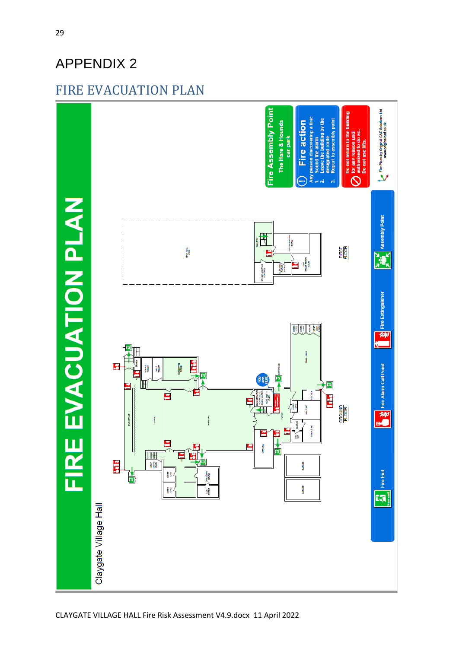# <span id="page-28-1"></span><span id="page-28-0"></span>FIRE EVACUATION PLAN

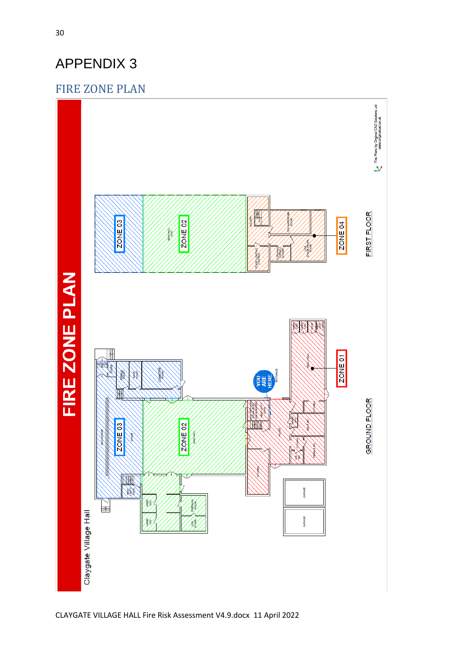## <span id="page-29-1"></span><span id="page-29-0"></span>FIRE ZONE PLAN

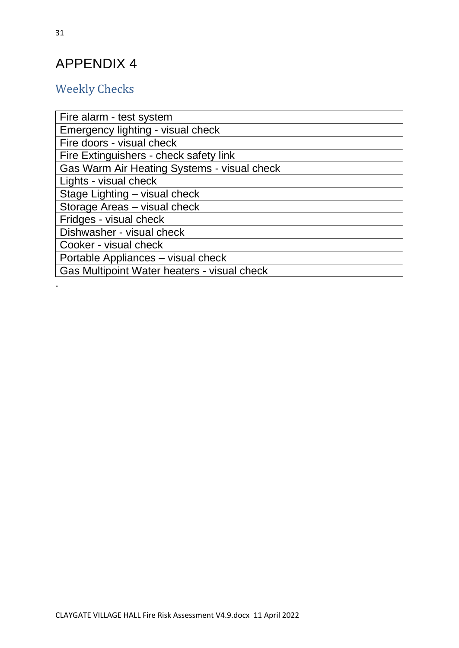# <span id="page-30-1"></span><span id="page-30-0"></span>Weekly Checks

| Fire alarm - test system                    |
|---------------------------------------------|
| Emergency lighting - visual check           |
| Fire doors - visual check                   |
| Fire Extinguishers - check safety link      |
| Gas Warm Air Heating Systems - visual check |
| Lights - visual check                       |
| Stage Lighting - visual check               |
| Storage Areas - visual check                |
| Fridges - visual check                      |
| Dishwasher - visual check                   |
| Cooker - visual check                       |
| Portable Appliances - visual check          |
| Gas Multipoint Water heaters - visual check |

.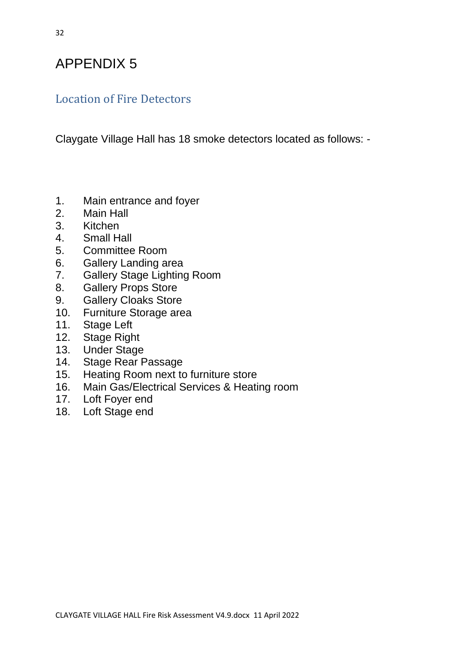# <span id="page-31-1"></span><span id="page-31-0"></span>Location of Fire Detectors

Claygate Village Hall has 18 smoke detectors located as follows: -

- 1. Main entrance and foyer
- 2. Main Hall
- 3. Kitchen
- 4. Small Hall
- 5. Committee Room
- 6. Gallery Landing area
- 7. Gallery Stage Lighting Room
- 8. Gallery Props Store
- 9. Gallery Cloaks Store
- 10. Furniture Storage area
- 11. Stage Left
- 12. Stage Right<br>13. Under Stage
- **Under Stage**
- 14. Stage Rear Passage
- 15. Heating Room next to furniture store
- 16. Main Gas/Electrical Services & Heating room
- 17. Loft Foyer end
- 18. Loft Stage end